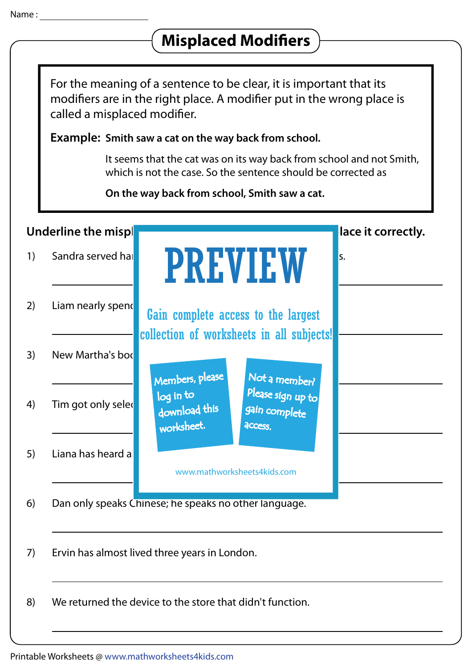## **Misplaced Modifiers** For the meaning of a sentence to be clear, it is important that its modifiers are in the right place. A modifier put in the wrong place is called a misplaced modifier. Example: Smith saw a cat on the way back from school. It seems that the cat was on its way back from school and not Smith, which is not the case. So the sentence should be corrected as On the way back from school, Smith saw a cat. Underline the misplaced model model model model model in each sentence in each sentence, and place it correctly. 1) Sandra served hampers to the children on the children on the children on the children on the children on  $\mathbb{R}$  **PREVIEW** 2) Liam nearly spends Gain complete access to the largest collection of worksheets in all subjects!3) New Martha's bod Members, please Not a member? 4) Tim got only selected for the event of the event of the event of the extension of the extension of the extension of the extension of the extension of the extension of the extension of the extension of the extending of worksheet. **access** 5) Liana has heard a www.mathworksheets4kids.com 6) Dan only speaks Chinese; he speaks no other language. 7) Ervin has almost lived three years in London. 8) We returned the device to the store that didn't function.